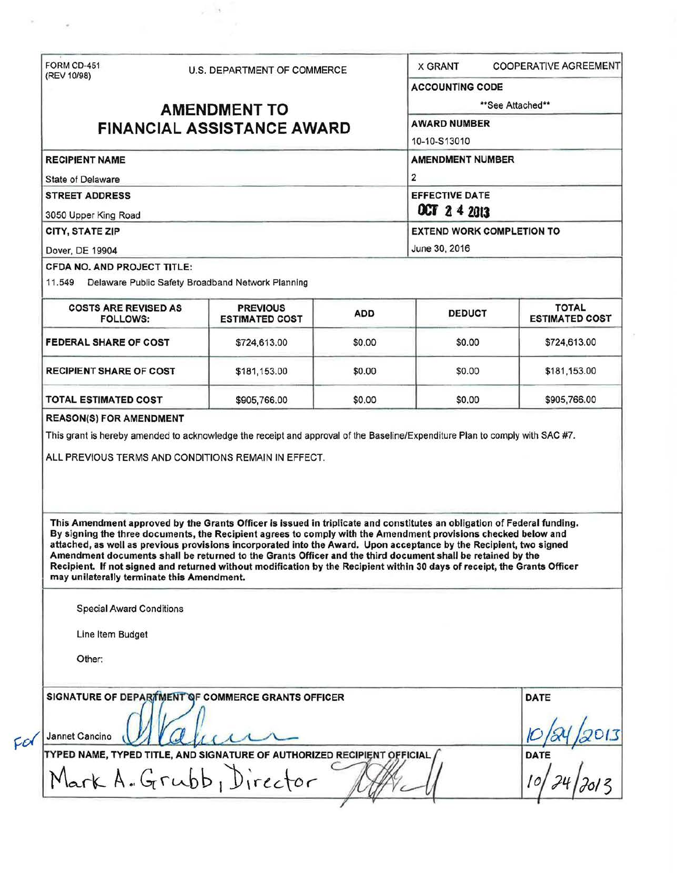| (REV 10/98)                                                                                        | <b>U.S. DEPARTMENT OF COMMERCE</b>                                                                                                                                                                                                                                                                                                                                                                                                                                                                                                                                                                          |            |                                                                                    |                                       |  |                                    |                                                          |  |                                  |  |
|----------------------------------------------------------------------------------------------------|-------------------------------------------------------------------------------------------------------------------------------------------------------------------------------------------------------------------------------------------------------------------------------------------------------------------------------------------------------------------------------------------------------------------------------------------------------------------------------------------------------------------------------------------------------------------------------------------------------------|------------|------------------------------------------------------------------------------------|---------------------------------------|--|------------------------------------|----------------------------------------------------------|--|----------------------------------|--|
|                                                                                                    |                                                                                                                                                                                                                                                                                                                                                                                                                                                                                                                                                                                                             |            | <b>ACCOUNTING CODE</b>                                                             |                                       |  |                                    |                                                          |  |                                  |  |
| <b>AMENDMENT TO</b>                                                                                |                                                                                                                                                                                                                                                                                                                                                                                                                                                                                                                                                                                                             |            | **See Attached**                                                                   |                                       |  |                                    |                                                          |  |                                  |  |
| <b>FINANCIAL ASSISTANCE AWARD</b>                                                                  |                                                                                                                                                                                                                                                                                                                                                                                                                                                                                                                                                                                                             |            | <b>AWARD NUMBER</b>                                                                |                                       |  |                                    |                                                          |  |                                  |  |
|                                                                                                    |                                                                                                                                                                                                                                                                                                                                                                                                                                                                                                                                                                                                             |            | 10-10-S13010                                                                       |                                       |  |                                    |                                                          |  |                                  |  |
| <b>RECIPIENT NAME</b><br><b>State of Delaware</b><br><b>STREET ADDRESS</b><br>3050 Upper King Road |                                                                                                                                                                                                                                                                                                                                                                                                                                                                                                                                                                                                             |            | <b>AMENDMENT NUMBER</b><br>$\overline{2}$<br><b>EFFECTIVE DATE</b><br>OCT 2 4 2013 |                                       |  |                                    |                                                          |  |                                  |  |
|                                                                                                    |                                                                                                                                                                                                                                                                                                                                                                                                                                                                                                                                                                                                             |            |                                                                                    |                                       |  | CITY, STATE ZIP                    |                                                          |  | <b>EXTEND WORK COMPLETION TO</b> |  |
|                                                                                                    |                                                                                                                                                                                                                                                                                                                                                                                                                                                                                                                                                                                                             |            |                                                                                    |                                       |  | Dover, DE 19904                    |                                                          |  | June 30, 2016                    |  |
|                                                                                                    |                                                                                                                                                                                                                                                                                                                                                                                                                                                                                                                                                                                                             |            |                                                                                    |                                       |  | <b>CFDA NO. AND PROJECT TITLE:</b> | 11.549 Delaware Public Safety Broadband Network Planning |  |                                  |  |
| <b>COSTS ARE REVISED AS</b><br><b>FOLLOWS:</b>                                                     | <b>PREVIOUS</b><br><b>ESTIMATED COST</b>                                                                                                                                                                                                                                                                                                                                                                                                                                                                                                                                                                    | <b>ADD</b> | <b>DEDUCT</b>                                                                      | <b>TOTAL</b><br><b>ESTIMATED COST</b> |  |                                    |                                                          |  |                                  |  |
| <b>FEDERAL SHARE OF COST</b>                                                                       | \$724,613.00                                                                                                                                                                                                                                                                                                                                                                                                                                                                                                                                                                                                | \$0.00     | \$0.00                                                                             | \$724,613.00                          |  |                                    |                                                          |  |                                  |  |
| <b>RECIPIENT SHARE OF COST</b>                                                                     | \$181,153.00                                                                                                                                                                                                                                                                                                                                                                                                                                                                                                                                                                                                | \$0.00     | \$0.00                                                                             | \$181,153.00                          |  |                                    |                                                          |  |                                  |  |
|                                                                                                    |                                                                                                                                                                                                                                                                                                                                                                                                                                                                                                                                                                                                             |            |                                                                                    |                                       |  |                                    |                                                          |  |                                  |  |
|                                                                                                    | \$905,766.00<br>This grant is hereby amended to acknowledge the receipt and approval of the Baseline/Expenditure Plan to comply with SAC #7.<br>ALL PREVIOUS TERMS AND CONDITIONS REMAIN IN EFFECT.                                                                                                                                                                                                                                                                                                                                                                                                         | \$0.00     | \$0.00                                                                             | \$905,766.00                          |  |                                    |                                                          |  |                                  |  |
| may unilaterally terminate this Amendment.                                                         | This Amendment approved by the Grants Officer is issued in triplicate and constitutes an obligation of Federal funding.<br>By signing the three documents, the Recipient agrees to comply with the Amendment provisions checked below and<br>attached, as well as previous provisions incorporated into the Award. Upon acceptance by the Recipient, two signed<br>Amendment documents shall be returned to the Grants Officer and the third document shall be retained by the<br>Recipient. If not signed and returned without modification by the Recipient within 30 days of receipt, the Grants Officer |            |                                                                                    |                                       |  |                                    |                                                          |  |                                  |  |
| <b>Special Award Conditions</b>                                                                    |                                                                                                                                                                                                                                                                                                                                                                                                                                                                                                                                                                                                             |            |                                                                                    |                                       |  |                                    |                                                          |  |                                  |  |
| Line Item Budget                                                                                   |                                                                                                                                                                                                                                                                                                                                                                                                                                                                                                                                                                                                             |            |                                                                                    |                                       |  |                                    |                                                          |  |                                  |  |
| <b>TOTAL ESTIMATED COST</b><br><b>REASON(S) FOR AMENDMENT</b><br>Other:                            |                                                                                                                                                                                                                                                                                                                                                                                                                                                                                                                                                                                                             |            |                                                                                    |                                       |  |                                    |                                                          |  |                                  |  |
|                                                                                                    | SIGNATURE OF DEPARTMENT OF COMMERCE GRANTS OFFICER                                                                                                                                                                                                                                                                                                                                                                                                                                                                                                                                                          |            |                                                                                    | <b>DATE</b>                           |  |                                    |                                                          |  |                                  |  |
|                                                                                                    |                                                                                                                                                                                                                                                                                                                                                                                                                                                                                                                                                                                                             |            |                                                                                    |                                       |  |                                    |                                                          |  |                                  |  |
| Jannet Cancino                                                                                     | TYPED NAME, TYPED TITLE, AND SIGNATURE OF AUTHORIZED RECIPIENT OFFICIAL<br>Mark A. Grubb, Director                                                                                                                                                                                                                                                                                                                                                                                                                                                                                                          |            |                                                                                    | <b>DATE</b>                           |  |                                    |                                                          |  |                                  |  |

 $\varphi=1$ 

Ŷ,